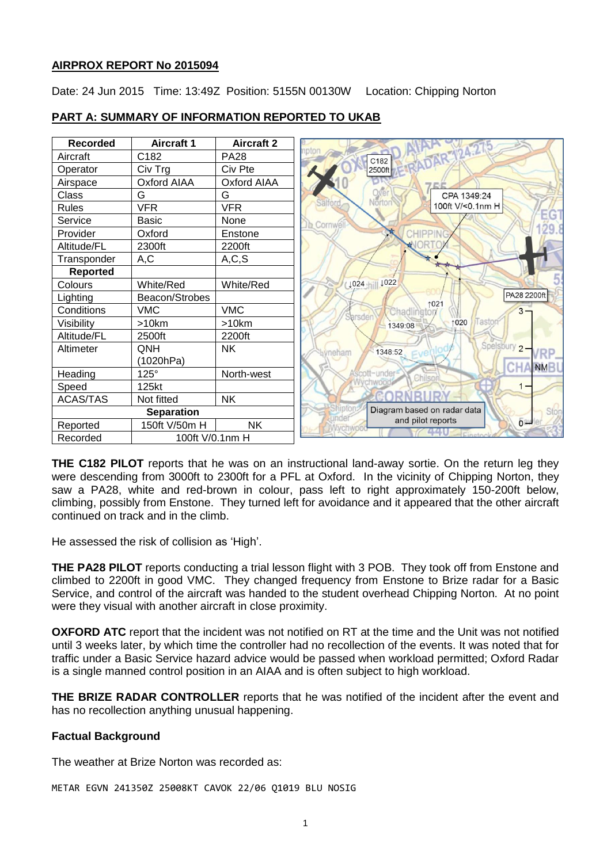### **AIRPROX REPORT No 2015094**

Date: 24 Jun 2015 Time: 13:49Z Position: 5155N 00130W Location: Chipping Norton

| <b>Recorded</b>   | <b>Aircraft 1</b>  | <b>Aircraft 2</b>  |                                     |
|-------------------|--------------------|--------------------|-------------------------------------|
| Aircraft          | C182               | <b>PA28</b>        | 24.1<br>ADAR<br>C182                |
| Operator          | Civ Trg            | Civ Pte            | 2500ft                              |
| Airspace          | <b>Oxford AIAA</b> | <b>Oxford AIAA</b> |                                     |
| Class             | G                  | G                  | CPA 1349:24                         |
| Rules             | <b>VFR</b>         | <b>VFR</b>         | Nörtor<br>100ft V/<0.1nm H          |
| Service           | <b>Basic</b>       | None               | Cornwé                              |
| Provider          | Oxford             | Enstone            | CHIPP                               |
| Altitude/FL       | 2300ft             | 2200ft             |                                     |
| Transponder       | A,C                | A, C, S            |                                     |
| <b>Reported</b>   |                    |                    |                                     |
| Colours           | White/Red          | White/Red          | ↓024   1022                         |
| Lighting          | Beacon/Strobes     |                    | PA28 2200ft<br>1021                 |
| Conditions        | <b>VMC</b>         | <b>VMC</b>         | $3 -$<br>Chadlington<br>Sarsden     |
| Visibility        | >10km              | >10km              | 1020<br>Tastor<br>1349:08           |
| Altitude/FL       | 2500ft             | 2200ft             |                                     |
| Altimeter         | QNH                | NΚ.                | Spelsbury 2-<br>1348:52<br>meham    |
|                   | (1020hPa)          |                    | <b>NM</b>                           |
| Heading           | $125^\circ$        | North-west         | scott-under                         |
| Speed             | 125kt              |                    | $1 -$                               |
| <b>ACAS/TAS</b>   | Not fitted         | <b>NK</b>          |                                     |
| <b>Separation</b> |                    |                    | Diagram based on radar data<br>Stor |
| Reported          | 150ft V/50m H      | <b>NK</b>          | and pilot reports<br><b>baw</b>     |
| Recorded          | 100ft V/0.1nm H    |                    |                                     |

### **PART A: SUMMARY OF INFORMATION REPORTED TO UKAB**

**THE C182 PILOT** reports that he was on an instructional land-away sortie. On the return leg they were descending from 3000ft to 2300ft for a PFL at Oxford. In the vicinity of Chipping Norton, they saw a PA28, white and red-brown in colour, pass left to right approximately 150-200ft below, climbing, possibly from Enstone. They turned left for avoidance and it appeared that the other aircraft continued on track and in the climb.

He assessed the risk of collision as 'High'.

**THE PA28 PILOT** reports conducting a trial lesson flight with 3 POB. They took off from Enstone and climbed to 2200ft in good VMC. They changed frequency from Enstone to Brize radar for a Basic Service, and control of the aircraft was handed to the student overhead Chipping Norton. At no point were they visual with another aircraft in close proximity.

**OXFORD ATC** report that the incident was not notified on RT at the time and the Unit was not notified until 3 weeks later, by which time the controller had no recollection of the events. It was noted that for traffic under a Basic Service hazard advice would be passed when workload permitted; Oxford Radar is a single manned control position in an AIAA and is often subject to high workload.

**THE BRIZE RADAR CONTROLLER** reports that he was notified of the incident after the event and has no recollection anything unusual happening.

### **Factual Background**

The weather at Brize Norton was recorded as:

METAR EGVN 241350Z 25008KT CAVOK 22/06 Q1019 BLU NOSIG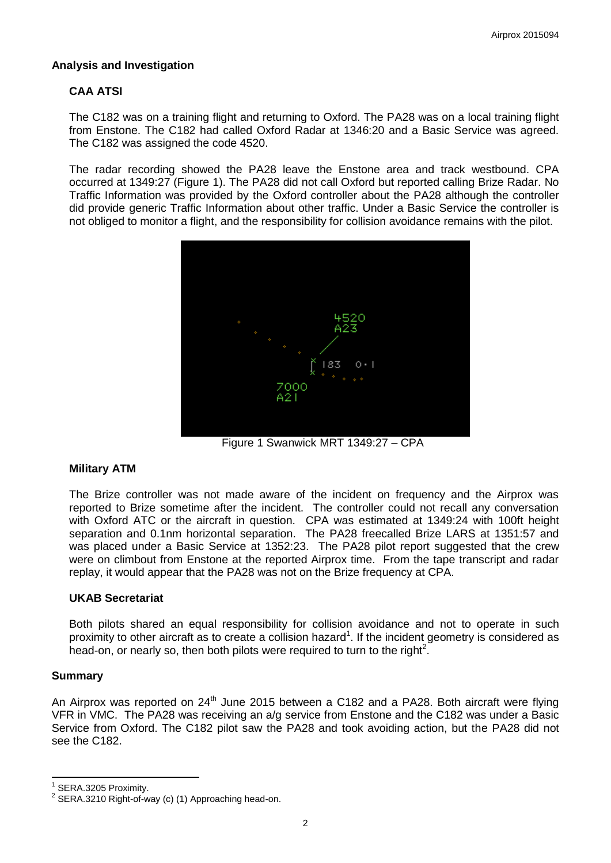### **Analysis and Investigation**

# **CAA ATSI**

The C182 was on a training flight and returning to Oxford. The PA28 was on a local training flight from Enstone. The C182 had called Oxford Radar at 1346:20 and a Basic Service was agreed. The C182 was assigned the code 4520.

The radar recording showed the PA28 leave the Enstone area and track westbound. CPA occurred at 1349:27 (Figure 1). The PA28 did not call Oxford but reported calling Brize Radar. No Traffic Information was provided by the Oxford controller about the PA28 although the controller did provide generic Traffic Information about other traffic. Under a Basic Service the controller is not obliged to monitor a flight, and the responsibility for collision avoidance remains with the pilot.



Figure 1 Swanwick MRT 1349:27 – CPA

### **Military ATM**

The Brize controller was not made aware of the incident on frequency and the Airprox was reported to Brize sometime after the incident. The controller could not recall any conversation with Oxford ATC or the aircraft in question. CPA was estimated at 1349:24 with 100ft height separation and 0.1nm horizontal separation. The PA28 freecalled Brize LARS at 1351:57 and was placed under a Basic Service at 1352:23. The PA28 pilot report suggested that the crew were on climbout from Enstone at the reported Airprox time. From the tape transcript and radar replay, it would appear that the PA28 was not on the Brize frequency at CPA.

#### **UKAB Secretariat**

Both pilots shared an equal responsibility for collision avoidance and not to operate in such proximity to other aircraft as to create a collision hazard<sup>1</sup>. If the incident geometry is considered as head-on, or nearly so, then both pilots were required to turn to the right<sup>2</sup>.

#### **Summary**

 $\overline{\phantom{a}}$ 

An Airprox was reported on 24<sup>th</sup> June 2015 between a C182 and a PA28. Both aircraft were flying VFR in VMC. The PA28 was receiving an a/g service from Enstone and the C182 was under a Basic Service from Oxford. The C182 pilot saw the PA28 and took avoiding action, but the PA28 did not see the C182.

<sup>1</sup> SERA.3205 Proximity.

 $2$  SERA.3210 Right-of-way (c) (1) Approaching head-on.